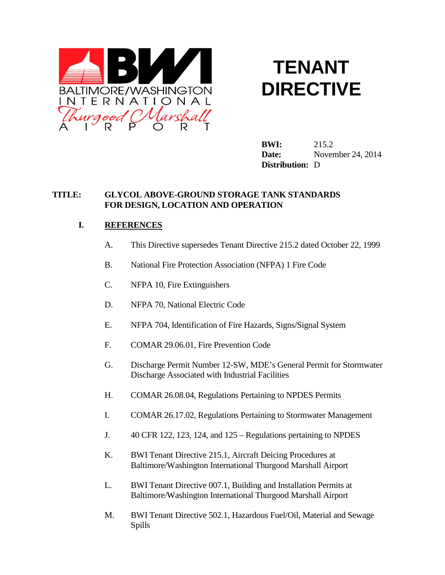

# **TENANT DIRECTIVE**

**BWI:** 215.2 **Date:** November 24, 2014 **Distribution:** D

#### **TITLE: GLYCOL ABOVE-GROUND STORAGE TANK STANDARDS FOR DESIGN, LOCATION AND OPERATION**

## **I. REFERENCES**

- A. This Directive supersedes Tenant Directive 215.2 dated October 22, 1999
- B. National Fire Protection Association (NFPA) 1 Fire Code
- C. NFPA 10, Fire Extinguishers
- D. NFPA 70, National Electric Code
- E. NFPA 704, Identification of Fire Hazards, Signs/Signal System
- F. COMAR 29.06.01, Fire Prevention Code
- G. Discharge Permit Number 12-SW, MDE's General Permit for Stormwater Discharge Associated with Industrial Facilities
- H. COMAR 26.08.04, Regulations Pertaining to NPDES Permits
- I. COMAR 26.17.02, Regulations Pertaining to Stormwater Management
- J. 40 CFR 122, 123, 124, and 125 Regulations pertaining to NPDES
- K. BWI Tenant Directive 215.1, Aircraft Deicing Procedures at Baltimore/Washington International Thurgood Marshall Airport
- L. BWI Tenant Directive 007.1, Building and Installation Permits at Baltimore/Washington International Thurgood Marshall Airport
- M. BWI Tenant Directive 502.1, Hazardous Fuel/Oil, Material and Sewage Spills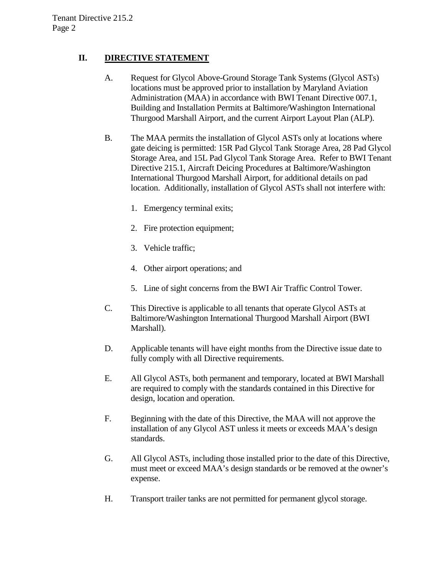## **II. DIRECTIVE STATEMENT**

- A. Request for Glycol Above-Ground Storage Tank Systems (Glycol ASTs) locations must be approved prior to installation by Maryland Aviation Administration (MAA) in accordance with BWI Tenant Directive 007.1, Building and Installation Permits at Baltimore/Washington International Thurgood Marshall Airport, and the current Airport Layout Plan (ALP).
- B. The MAA permits the installation of Glycol ASTs only at locations where gate deicing is permitted: 15R Pad Glycol Tank Storage Area, 28 Pad Glycol Storage Area, and 15L Pad Glycol Tank Storage Area. Refer to BWI Tenant Directive 215.1, Aircraft Deicing Procedures at Baltimore/Washington International Thurgood Marshall Airport, for additional details on pad location. Additionally, installation of Glycol ASTs shall not interfere with:
	- 1. Emergency terminal exits;
	- 2. Fire protection equipment;
	- 3. Vehicle traffic;
	- 4. Other airport operations; and
	- 5. Line of sight concerns from the BWI Air Traffic Control Tower.
- C. This Directive is applicable to all tenants that operate Glycol ASTs at Baltimore/Washington International Thurgood Marshall Airport (BWI Marshall).
- D. Applicable tenants will have eight months from the Directive issue date to fully comply with all Directive requirements.
- E. All Glycol ASTs, both permanent and temporary, located at BWI Marshall are required to comply with the standards contained in this Directive for design, location and operation.
- F. Beginning with the date of this Directive, the MAA will not approve the installation of any Glycol AST unless it meets or exceeds MAA's design standards.
- G. All Glycol ASTs, including those installed prior to the date of this Directive, must meet or exceed MAA's design standards or be removed at the owner's expense.
- H. Transport trailer tanks are not permitted for permanent glycol storage.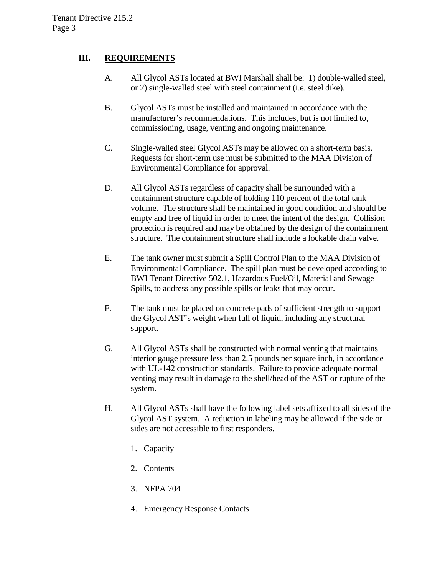### **III. REQUIREMENTS**

- A. All Glycol ASTs located at BWI Marshall shall be: 1) double-walled steel, or 2) single-walled steel with steel containment (i.e. steel dike).
- B. Glycol ASTs must be installed and maintained in accordance with the manufacturer's recommendations. This includes, but is not limited to, commissioning, usage, venting and ongoing maintenance.
- C. Single-walled steel Glycol ASTs may be allowed on a short-term basis. Requests for short-term use must be submitted to the MAA Division of Environmental Compliance for approval.
- D. All Glycol ASTs regardless of capacity shall be surrounded with a containment structure capable of holding 110 percent of the total tank volume. The structure shall be maintained in good condition and should be empty and free of liquid in order to meet the intent of the design. Collision protection is required and may be obtained by the design of the containment structure. The containment structure shall include a lockable drain valve.
- E. The tank owner must submit a Spill Control Plan to the MAA Division of Environmental Compliance. The spill plan must be developed according to BWI Tenant Directive 502.1, Hazardous Fuel/Oil, Material and Sewage Spills, to address any possible spills or leaks that may occur.
- F. The tank must be placed on concrete pads of sufficient strength to support the Glycol AST's weight when full of liquid, including any structural support.
- G. All Glycol ASTs shall be constructed with normal venting that maintains interior gauge pressure less than 2.5 pounds per square inch, in accordance with UL-142 construction standards. Failure to provide adequate normal venting may result in damage to the shell/head of the AST or rupture of the system.
- H. All Glycol ASTs shall have the following label sets affixed to all sides of the Glycol AST system. A reduction in labeling may be allowed if the side or sides are not accessible to first responders.
	- 1. Capacity
	- 2. Contents
	- 3. NFPA 704
	- 4. Emergency Response Contacts